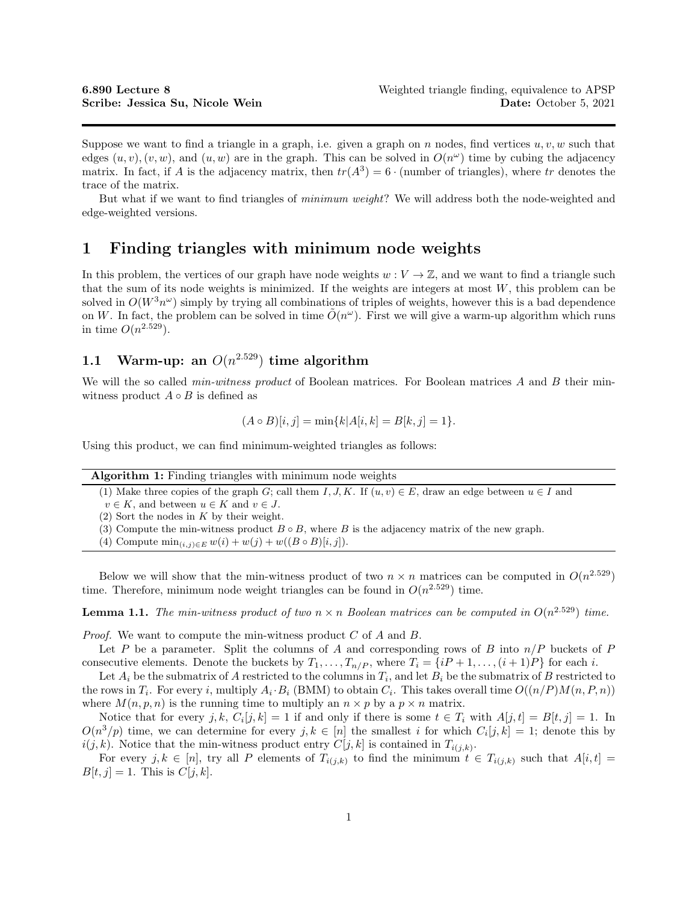Suppose we want to find a triangle in a graph, i.e. given a graph on n nodes, find vertices  $u, v, w$  such that edges  $(u, v), (v, w)$ , and  $(u, w)$  are in the graph. This can be solved in  $O(n^{\omega})$  time by cubing the adjacency matrix. In fact, if A is the adjacency matrix, then  $tr(A^3) = 6 \cdot$  (number of triangles), where tr denotes the trace of the matrix.

But what if we want to find triangles of minimum weight? We will address both the node-weighted and edge-weighted versions.

### 1 Finding triangles with minimum node weights

In this problem, the vertices of our graph have node weights  $w: V \to \mathbb{Z}$ , and we want to find a triangle such that the sum of its node weights is minimized. If the weights are integers at most  $W$ , this problem can be solved in  $O(W^3 n^{\omega})$  simply by trying all combinations of triples of weights, however this is a bad dependence on W. In fact, the problem can be solved in time  $\tilde{O}(n^{\omega})$ . First we will give a warm-up algorithm which runs in time  $O(n^{2.529})$ .

# 1.1 Warm-up: an  $O(n^{2.529})$  time algorithm

We will the so called *min-witness product* of Boolean matrices. For Boolean matrices A and B their minwitness product  $A \circ B$  is defined as

$$
(A \circ B)[i, j] = \min\{k | A[i, k] = B[k, j] = 1\}.
$$

Using this product, we can find minimum-weighted triangles as follows:

| <b>Algorithm 1:</b> Finding triangles with minimum node weights |  |  |
|-----------------------------------------------------------------|--|--|
|                                                                 |  |  |

(1) Make three copies of the graph G; call them I, J, K. If  $(u, v) \in E$ , draw an edge between  $u \in I$  and

 $v \in K$ , and between  $u \in K$  and  $v \in J$ .

- $(2)$  Sort the nodes in K by their weight.
- (3) Compute the min-witness product  $B \circ B$ , where B is the adjacency matrix of the new graph.
- (4) Compute  $\min_{(i,j)\in E} w(i) + w(j) + w((B \circ B)[i, j]).$

Below we will show that the min-witness product of two  $n \times n$  matrices can be computed in  $O(n^{2.529})$ time. Therefore, minimum node weight triangles can be found in  $O(n^{2.529})$  time.

**Lemma 1.1.** The min-witness product of two  $n \times n$  Boolean matrices can be computed in  $O(n^{2.529})$  time.

*Proof.* We want to compute the min-witness product  $C$  of  $A$  and  $B$ .

Let P be a parameter. Split the columns of A and corresponding rows of B into  $n/P$  buckets of P consecutive elements. Denote the buckets by  $T_1, \ldots, T_{n/P}$ , where  $T_i = \{iP + 1, \ldots, (i + 1)P\}$  for each i.

Let  $A_i$  be the submatrix of A restricted to the columns in  $T_i$ , and let  $B_i$  be the submatrix of B restricted to the rows in  $T_i$ . For every i, multiply  $A_i \cdot B_i$  (BMM) to obtain  $C_i$ . This takes overall time  $O((n/P)M(n, P, n))$ where  $M(n, p, n)$  is the running time to multiply an  $n \times p$  by a  $p \times n$  matrix.

Notice that for every j, k,  $C_i[j, k] = 1$  if and only if there is some  $t \in T_i$  with  $A[j, t] = B[t, j] = 1$ . In  $O(n^3/p)$  time, we can determine for every  $j, k \in [n]$  the smallest i for which  $C_i[j, k] = 1$ ; denote this by  $i(j, k)$ . Notice that the min-witness product entry  $C[j, k]$  is contained in  $T_{i(j,k)}$ .

For every j, k 
in [n], try all P elements of  $T_{i(j,k)}$  to find the minimum  $t \in T_{i(j,k)}$  such that  $A[i, t] =$  $B[t, j] = 1$ . This is  $C[j, k]$ .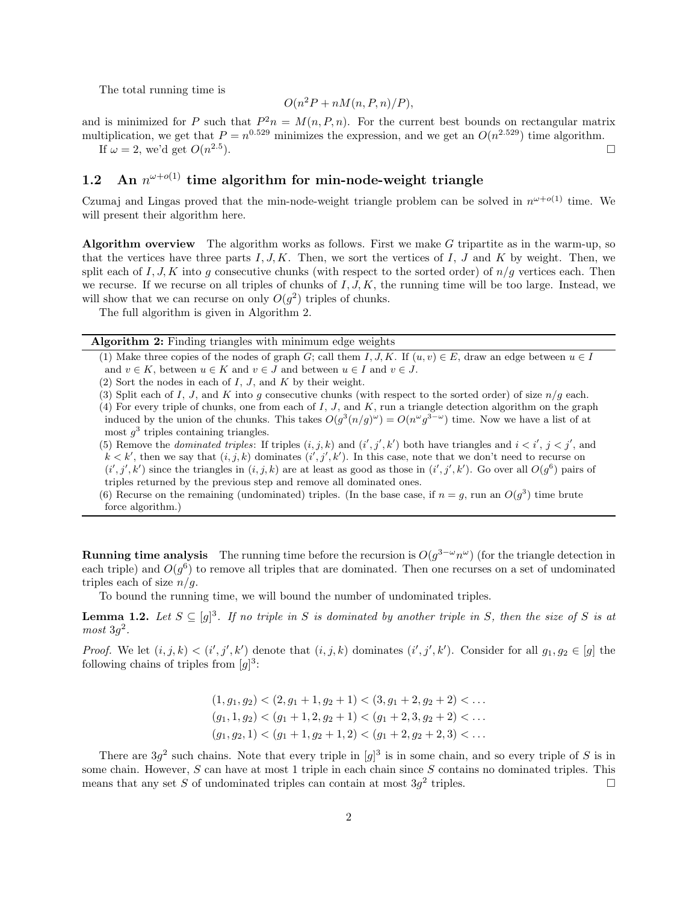The total running time is

$$
O(n^2P + nM(n, P, n)/P),
$$

and is minimized for P such that  $P^2n = M(n, P, n)$ . For the current best bounds on rectangular matrix multiplication, we get that  $P = n^{0.529}$  minimizes the expression, and we get an  $O(n^{2.529})$  time algorithm. If  $\omega = 2$ , we'd get  $O(n^{2.5})$ ).

## 1.2 An  $n^{\omega+o(1)}$  time algorithm for min-node-weight triangle

Czumaj and Lingas proved that the min-node-weight triangle problem can be solved in  $n^{\omega+o(1)}$  time. We will present their algorithm here.

Algorithm overview The algorithm works as follows. First we make G tripartite as in the warm-up, so that the vertices have three parts  $I, J, K$ . Then, we sort the vertices of I, J and K by weight. Then, we split each of I, J, K into q consecutive chunks (with respect to the sorted order) of  $n/q$  vertices each. Then we recurse. If we recurse on all triples of chunks of  $I, J, K$ , the running time will be too large. Instead, we will show that we can recurse on only  $O(g^2)$  triples of chunks.

The full algorithm is given in Algorithm 2.

Algorithm 2: Finding triangles with minimum edge weights

- (1) Make three copies of the nodes of graph G; call them I, J, K. If  $(u, v) \in E$ , draw an edge between  $u \in I$ and  $v \in K$ , between  $u \in K$  and  $v \in J$  and between  $u \in I$  and  $v \in J$ .
- (2) Sort the nodes in each of  $I, J$ , and  $K$  by their weight.
- (3) Split each of I, J, and K into g consecutive chunks (with respect to the sorted order) of size  $n/q$  each.
- (4) For every triple of chunks, one from each of  $I, J$ , and  $K$ , run a triangle detection algorithm on the graph induced by the union of the chunks. This takes  $O(g^3(n/g)^\omega) = O(n^\omega g^{3-\omega})$  time. Now we have a list of at most  $g^3$  triples containing triangles.

(5) Remove the *dominated triples*: If triples  $(i, j, k)$  and  $(i', j', k')$  both have triangles and  $i < i', j < j'$ , and  $k < k'$ , then we say that  $(i, j, k)$  dominates  $(i', j', k')$ . In this case, note that we don't need to recurse on  $(i', j', k')$  since the triangles in  $(i, j, k)$  are at least as good as those in  $(i', j', k')$ . Go over all  $O(g^6)$  pairs of triples returned by the previous step and remove all dominated ones.

(6) Recurse on the remaining (undominated) triples. (In the base case, if  $n = g$ , run an  $O(g^3)$  time brute force algorithm.)

**Running time analysis** The running time before the recursion is  $O(g^{3-\omega}n^{\omega})$  (for the triangle detection in each triple) and  $O(g^6)$  to remove all triples that are dominated. Then one recurses on a set of undominated triples each of size  $n/q$ .

To bound the running time, we will bound the number of undominated triples.

**Lemma 1.2.** Let  $S \subseteq [g]^3$ . If no triple in S is dominated by another triple in S, then the size of S is at  $most\ 3g^2$ .

*Proof.* We let  $(i, j, k) < (i', j', k')$  denote that  $(i, j, k)$  dominates  $(i', j', k')$ . Consider for all  $g_1, g_2 \in [g]$  the following chains of triples from  $[g]^3$ :

> $(1, g_1, g_2) < (2, g_1 + 1, g_2 + 1) < (3, g_1 + 2, g_2 + 2) < \dots$  $(g_1, 1, g_2) < (g_1 + 1, 2, g_2 + 1) < (g_1 + 2, 3, g_2 + 2) < \dots$  $(q_1, q_2, 1) < (q_1 + 1, q_2 + 1, 2) < (q_1 + 2, q_2 + 2, 3) < \dots$

There are  $3g^2$  such chains. Note that every triple in  $[g]^3$  is in some chain, and so every triple of S is in some chain. However,  $S$  can have at most 1 triple in each chain since  $S$  contains no dominated triples. This means that any set S of undominated triples can contain at most  $3g^2$  triples.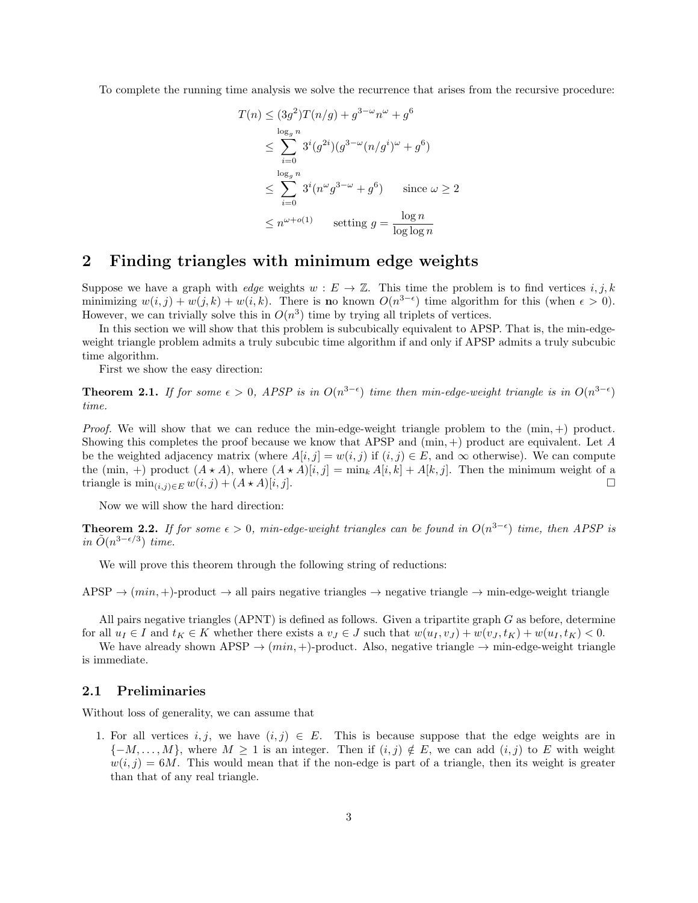To complete the running time analysis we solve the recurrence that arises from the recursive procedure:

$$
T(n) \leq (3g^2)T(n/g) + g^{3-\omega}n^{\omega} + g^6
$$
  
\n
$$
\leq \sum_{i=0}^{\log_g n} 3^i(g^{2i})(g^{3-\omega}(n/g^i)^{\omega} + g^6)
$$
  
\n
$$
\leq \sum_{i=0}^{\log_g n} 3^i(n^{\omega}g^{3-\omega} + g^6) \quad \text{since } \omega \geq 2
$$
  
\n
$$
\leq n^{\omega+o(1)} \quad \text{setting } g = \frac{\log n}{\log \log n}
$$

### 2 Finding triangles with minimum edge weights

Suppose we have a graph with *edge* weights  $w : E \to \mathbb{Z}$ . This time the problem is to find vertices i, j, k minimizing  $w(i, j) + w(j, k) + w(i, k)$ . There is no known  $O(n^{3-\epsilon})$  time algorithm for this (when  $\epsilon > 0$ ). However, we can trivially solve this in  $O(n^3)$  time by trying all triplets of vertices.

In this section we will show that this problem is subcubically equivalent to APSP. That is, the min-edgeweight triangle problem admits a truly subcubic time algorithm if and only if APSP admits a truly subcubic time algorithm.

First we show the easy direction:

**Theorem 2.1.** If for some  $\epsilon > 0$ , APSP is in  $O(n^{3-\epsilon})$  time then min-edge-weight triangle is in  $O(n^{3-\epsilon})$ time.

*Proof.* We will show that we can reduce the min-edge-weight triangle problem to the  $(\min, +)$  product. Showing this completes the proof because we know that APSP and  $(\min, +)$  product are equivalent. Let A be the weighted adjacency matrix (where  $A[i, j] = w(i, j)$  if  $(i, j) \in E$ , and  $\infty$  otherwise). We can compute the (min, +) product  $(A \star A)$ , where  $(A \star A)[i, j] = \min_k A[i, k] + A[k, j]$ . Then the minimum weight of a triangle is  $\min_{(i,j)\in E} w(i,j) + (A \star A)[i,j].$ 

Now we will show the hard direction:

**Theorem 2.2.** If for some  $\epsilon > 0$ , min-edge-weight triangles can be found in  $O(n^{3-\epsilon})$  time, then APSP is in  $\tilde{O}(n^{3-\epsilon/3})$  time.

We will prove this theorem through the following string of reductions:

APSP  $\rightarrow$   $(min, +)$ -product  $\rightarrow$  all pairs negative triangles  $\rightarrow$  negative triangle  $\rightarrow$  min-edge-weight triangle

All pairs negative triangles (APNT) is defined as follows. Given a tripartite graph G as before, determine for all  $u_I \in I$  and  $t_K \in K$  whether there exists a  $v_J \in J$  such that  $w(u_I, v_J) + w(v_J, t_K) + w(u_I, t_K) < 0$ .

We have already shown APSP  $\rightarrow$   $(min, +)$ -product. Also, negative triangle  $\rightarrow$  min-edge-weight triangle is immediate.

#### 2.1 Preliminaries

Without loss of generality, we can assume that

1. For all vertices  $i, j$ , we have  $(i, j) \in E$ . This is because suppose that the edge weights are in  $\{-M, \ldots, M\}$ , where  $M \geq 1$  is an integer. Then if  $(i, j) \notin E$ , we can add  $(i, j)$  to E with weight  $w(i, j) = 6M$ . This would mean that if the non-edge is part of a triangle, then its weight is greater than that of any real triangle.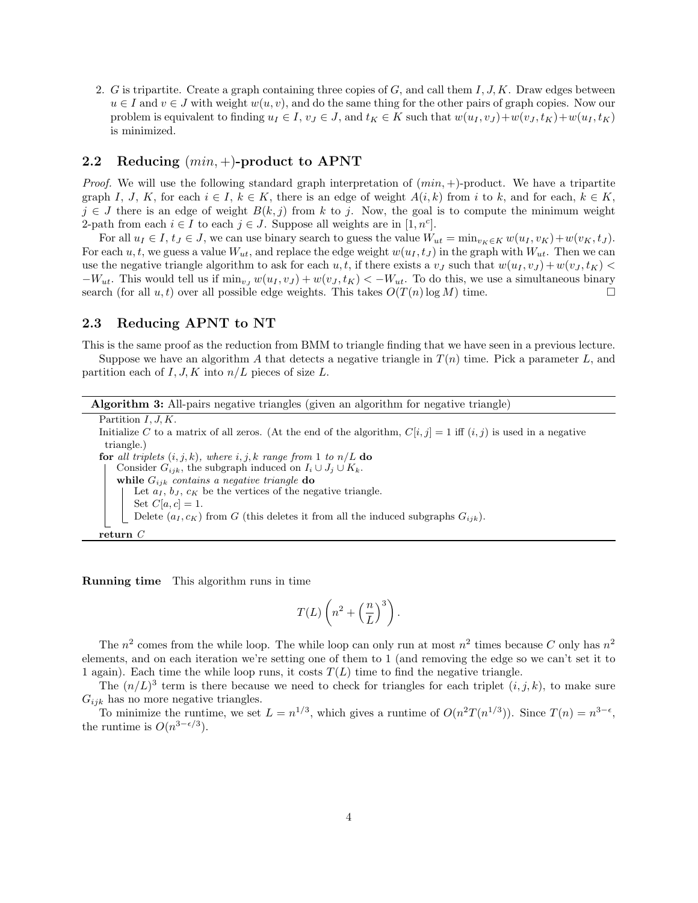2. G is tripartite. Create a graph containing three copies of G, and call them I, J, K. Draw edges between  $u \in I$  and  $v \in J$  with weight  $w(u, v)$ , and do the same thing for the other pairs of graph copies. Now our problem is equivalent to finding  $u_I \in I$ ,  $v_J \in J$ , and  $t_K \in K$  such that  $w(u_I, v_J) + w(v_J, t_K) + w(u_I, t_K)$ is minimized.

#### 2.2 Reducing  $(min,+)$ -product to APNT

*Proof.* We will use the following standard graph interpretation of  $(min, +)$ -product. We have a tripartite graph I, J, K, for each  $i \in I$ ,  $k \in K$ , there is an edge of weight  $A(i,k)$  from i to k, and for each,  $k \in K$ ,  $j \in J$  there is an edge of weight  $B(k, j)$  from k to j. Now, the goal is to compute the minimum weight 2-path from each  $i \in I$  to each  $j \in J$ . Suppose all weights are in [1, n<sup>c</sup>].

For all  $u_I \in I$ ,  $t_J \in J$ , we can use binary search to guess the value  $W_{ut} = \min_{v_K \in K} w(u_I, v_K) + w(v_K, t_J)$ . For each u, t, we guess a value  $W_{ut}$ , and replace the edge weight  $w(u_I, t_J)$  in the graph with  $W_{ut}$ . Then we can use the negative triangle algorithm to ask for each u, t, if there exists a  $v_j$  such that  $w(u_1, v_j) + w(v_j, t_K)$  $-W_{ut}$ . This would tell us if  $\min_{v} w(u_I, v_J) + w(v_J, t_K) < -W_{ut}$ . To do this, we use a simultaneous binary search (for all u, t) over all possible edge weights. This takes  $O(T(n) \log M)$  time.

### 2.3 Reducing APNT to NT

This is the same proof as the reduction from BMM to triangle finding that we have seen in a previous lecture. Suppose we have an algorithm A that detects a negative triangle in  $T(n)$  time. Pick a parameter L, and

partition each of I, J, K into  $n/L$  pieces of size L.

| <b>Algorithm 3:</b> All-pairs negative triangles (given an algorithm for negative triangle)                           |  |  |
|-----------------------------------------------------------------------------------------------------------------------|--|--|
| Partition $I, J, K$ .                                                                                                 |  |  |
| Initialize C to a matrix of all zeros. (At the end of the algorithm, $C[i, j] = 1$ iff $(i, j)$ is used in a negative |  |  |
| triangle.)                                                                                                            |  |  |
| for all triplets $(i, j, k)$ , where i, j, k range from 1 to $n/L$ do                                                 |  |  |
| Consider $G_{ijk}$ , the subgraph induced on $I_i \cup J_j \cup K_k$ .                                                |  |  |
| while $G_{ijk}$ contains a negative triangle do                                                                       |  |  |
| Let $a_I, b_J, c_K$ be the vertices of the negative triangle.                                                         |  |  |
| Set $C[a, c] = 1$ .                                                                                                   |  |  |
| Delete $(a_I, c_K)$ from G (this deletes it from all the induced subgraphs $G_{ijk}$ ).                               |  |  |
| return $C$                                                                                                            |  |  |

Running time This algorithm runs in time

$$
T(L)\left(n^2+\left(\frac{n}{L}\right)^3\right).
$$

The  $n^2$  comes from the while loop. The while loop can only run at most  $n^2$  times because C only has  $n^2$ elements, and on each iteration we're setting one of them to 1 (and removing the edge so we can't set it to 1 again). Each time the while loop runs, it costs  $T(L)$  time to find the negative triangle.

The  $(n/L)^3$  term is there because we need to check for triangles for each triplet  $(i, j, k)$ , to make sure  $G_{ijk}$  has no more negative triangles.

To minimize the runtime, we set  $L = n^{1/3}$ , which gives a runtime of  $O(n^2T(n^{1/3}))$ . Since  $T(n) = n^{3-\epsilon}$ , the runtime is  $O(n^{3-\epsilon/3})$ .